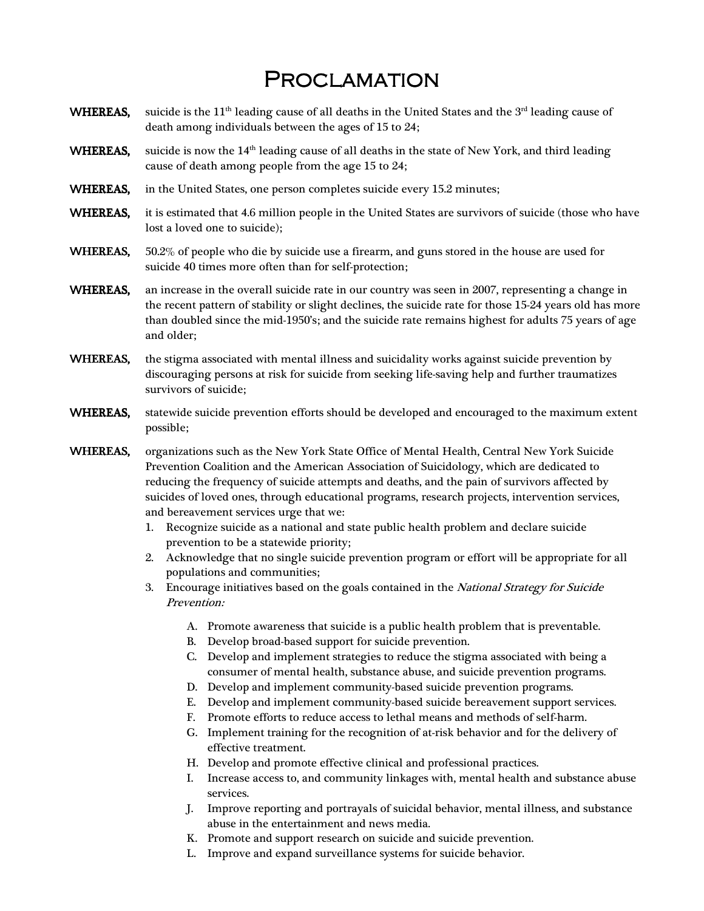## **PROCLAMATION**

- WHEREAS, suicide is the 11<sup>th</sup> leading cause of all deaths in the United States and the  $3<sup>rd</sup>$  leading cause of death among individuals between the ages of 15 to 24;
- WHEREAS, suicide is now the  $14<sup>th</sup>$  leading cause of all deaths in the state of New York, and third leading cause of death among people from the age 15 to 24;
- WHEREAS, in the United States, one person completes suicide every 15.2 minutes;
- WHEREAS, it is estimated that 4.6 million people in the United States are survivors of suicide (those who have lost a loved one to suicide);
- WHEREAS, 50.2% of people who die by suicide use a firearm, and guns stored in the house are used for suicide 40 times more often than for self-protection;
- WHEREAS, an increase in the overall suicide rate in our country was seen in 2007, representing a change in the recent pattern of stability or slight declines, the suicide rate for those 15-24 years old has more than doubled since the mid-1950's; and the suicide rate remains highest for adults 75 years of age and older;
- WHEREAS, the stigma associated with mental illness and suicidality works against suicide prevention by discouraging persons at risk for suicide from seeking life-saving help and further traumatizes survivors of suicide;
- WHEREAS, statewide suicide prevention efforts should be developed and encouraged to the maximum extent possible;
- WHEREAS, organizations such as the New York State Office of Mental Health, Central New York Suicide Prevention Coalition and the American Association of Suicidology, which are dedicated to reducing the frequency of suicide attempts and deaths, and the pain of survivors affected by suicides of loved ones, through educational programs, research projects, intervention services, and bereavement services urge that we:
	- 1. Recognize suicide as a national and state public health problem and declare suicide prevention to be a statewide priority;
	- 2. Acknowledge that no single suicide prevention program or effort will be appropriate for all populations and communities;
	- 3. Encourage initiatives based on the goals contained in the National Strategy for Suicide Prevention:
		- A. Promote awareness that suicide is a public health problem that is preventable.
		- B. Develop broad-based support for suicide prevention.
		- C. Develop and implement strategies to reduce the stigma associated with being a consumer of mental health, substance abuse, and suicide prevention programs.
		- D. Develop and implement community-based suicide prevention programs.
		- E. Develop and implement community-based suicide bereavement support services.
		- F. Promote efforts to reduce access to lethal means and methods of self-harm.
		- G. Implement training for the recognition of at-risk behavior and for the delivery of effective treatment.
		- H. Develop and promote effective clinical and professional practices.
		- I. Increase access to, and community linkages with, mental health and substance abuse services.
		- J. Improve reporting and portrayals of suicidal behavior, mental illness, and substance abuse in the entertainment and news media.
		- K. Promote and support research on suicide and suicide prevention.
		- L. Improve and expand surveillance systems for suicide behavior.